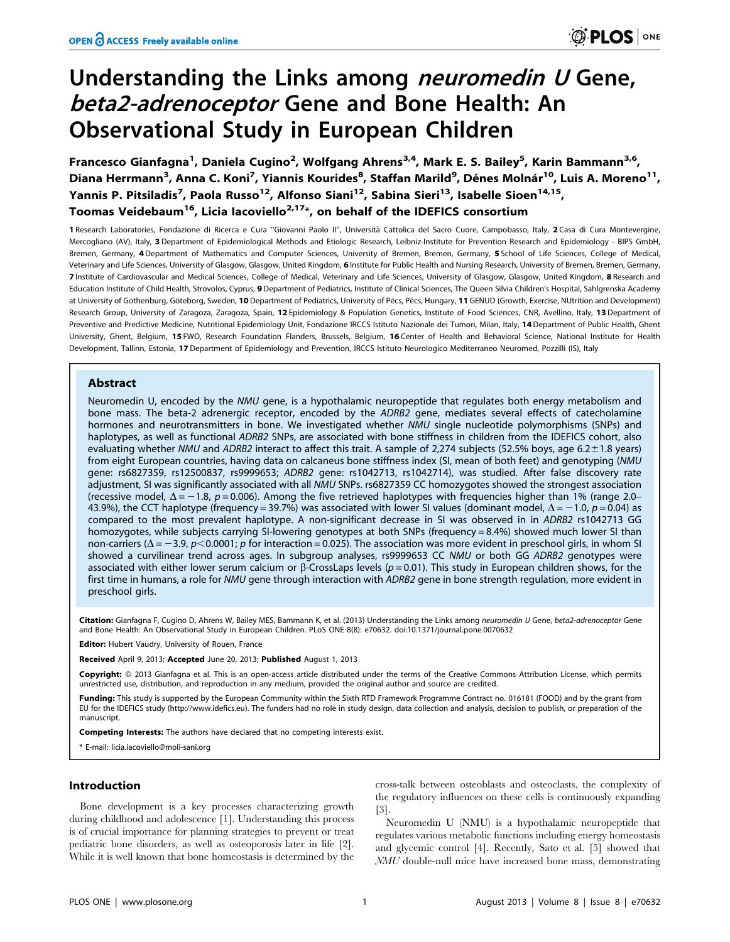# Understanding the Links among *neuromedin U* Gene, beta2-adrenoceptor Gene and Bone Health: An Observational Study in European Children

Francesco Gianfagna<sup>1</sup>, Daniela Cugino<sup>2</sup>, Wolfgang Ahrens<sup>3,4</sup>, Mark E. S. Bailey<sup>5</sup>, Karin Bammann<sup>3,6</sup>, Diana Herrmann<sup>3</sup>, Anna C. Koni<sup>7</sup>, Yiannis Kourides<sup>8</sup>, Staffan Marild<sup>9</sup>, Dénes Molnár<sup>10</sup>, Luis A. Moreno<sup>11</sup>, Yannis P. Pitsiladis<sup>7</sup>, Paola Russo<sup>12</sup>, Alfonso Siani<sup>12</sup>, Sabina Sieri<sup>13</sup>, Isabelle Sioen<sup>14,15</sup>, Toomas Veidebaum<sup>16</sup>, Licia Iacoviello<sup>2,17\*</sup>, on behalf of the IDEFICS consortium

1 Research Laboratories, Fondazione di Ricerca e Cura "Giovanni Paolo II", Università Cattolica del Sacro Cuore, Campobasso, Italy, 2 Casa di Cura Montevergine, Mercogliano (AV), Italy, 3 Department of Epidemiological Methods and Etiologic Research, Leibniz-Institute for Prevention Research and Epidemiology - BIPS GmbH, Bremen, Germany, 4 Department of Mathematics and Computer Sciences, University of Bremen, Bremen, Germany, 5 School of Life Sciences, College of Medical, Veterinary and Life Sciences, University of Glasgow, Glasgow, United Kingdom, 6 Institute for Public Health and Nursing Research, University of Bremen, Bremen, Germany, 7 Institute of Cardiovascular and Medical Sciences, College of Medical, Veterinary and Life Sciences, University of Glasgow, Glasgow, United Kingdom, 8 Research and Education Institute of Child Health, Strovolos, Cyprus, 9 Department of Pediatrics, Institute of Clinical Sciences, The Queen Silvia Children's Hospital, Sahlgrenska Academy at University of Gothenburg, Göteborg, Sweden, 10 Department of Pediatrics, University of Pécs, Pécs, Hungary, 11 GENUD (Growth, Exercise, NUtrition and Development) Research Group, University of Zaragoza, Zaragoza, Spain, 12 Epidemiology & Population Genetics, Institute of Food Sciences, CNR, Avellino, Italy, 13 Department of Preventive and Predictive Medicine, Nutritional Epidemiology Unit, Fondazione IRCCS Istituto Nazionale dei Tumori, Milan, Italy, 14Department of Public Health, Ghent University, Ghent, Belgium, 15 FWO, Research Foundation Flanders, Brussels, Belgium, 16 Center of Health and Behavioral Science, National Institute for Health Development, Tallinn, Estonia, 17 Department of Epidemiology and Prevention, IRCCS Istituto Neurologico Mediterraneo Neuromed, Pozzilli (IS), Italy

## Abstract

Neuromedin U, encoded by the NMU gene, is a hypothalamic neuropeptide that regulates both energy metabolism and bone mass. The beta-2 adrenergic receptor, encoded by the ADRB2 gene, mediates several effects of catecholamine hormones and neurotransmitters in bone. We investigated whether NMU single nucleotide polymorphisms (SNPs) and haplotypes, as well as functional ADRB2 SNPs, are associated with bone stiffness in children from the IDEFICS cohort, also evaluating whether NMU and ADRB2 interact to affect this trait. A sample of 2,274 subjects (52.5% boys, age 6.2 $\pm$ 1.8 years) from eight European countries, having data on calcaneus bone stiffness index (SI, mean of both feet) and genotyping (NMU gene: rs6827359, rs12500837, rs9999653; ADRB2 gene: rs1042713, rs1042714), was studied. After false discovery rate adjustment, SI was significantly associated with all NMU SNPs. rs6827359 CC homozygotes showed the strongest association (recessive model,  $\Delta = -1.8$ ,  $p = 0.006$ ). Among the five retrieved haplotypes with frequencies higher than 1% (range 2.0– 43.9%), the CCT haplotype (frequency = 39.7%) was associated with lower SI values (dominant model,  $\Delta$  = -1.0, p = 0.04) as compared to the most prevalent haplotype. A non-significant decrease in SI was observed in in ADRB2 rs1042713 GG homozygotes, while subjects carrying SI-lowering genotypes at both SNPs (frequency = 8.4%) showed much lower SI than non-carriers ( $\Delta$  = -3.9, p<0.0001; p for interaction = 0.025). The association was more evident in preschool girls, in whom SI showed a curvilinear trend across ages. In subgroup analyses, rs9999653 CC NMU or both GG ADRB2 genotypes were associated with either lower serum calcium or  $\beta$ -CrossLaps levels ( $p = 0.01$ ). This study in European children shows, for the first time in humans, a role for NMU gene through interaction with ADRB2 gene in bone strength regulation, more evident in preschool girls.

Citation: Gianfagna F, Cugino D, Ahrens W, Bailey MES, Bammann K, et al. (2013) Understanding the Links among neuromedin U Gene, beta2-adrenoceptor Gene and Bone Health: An Observational Study in European Children. PLoS ONE 8(8): e70632. doi:10.1371/journal.pone.0070632

**Editor:** Hubert Vaudry, University of Rouen, France

Received April 9, 2013; Accepted June 20, 2013; Published August 1, 2013

Copyright: © 2013 Gianfagna et al. This is an open-access article distributed under the terms of the Creative Commons Attribution License, which permits unrestricted use, distribution, and reproduction in any medium, provided the original author and source are credited.

Funding: This study is supported by the European Community within the Sixth RTD Framework Programme Contract no. 016181 (FOOD) and by the grant from EU for the IDEFICS study (http://www.idefics.eu). The funders had no role in study design, data collection and analysis, decision to publish, or preparation of the manuscript.

Competing Interests: The authors have declared that no competing interests exist.

\* E-mail: licia.iacoviello@moli-sani.org

## Introduction

Bone development is a key processes characterizing growth during childhood and adolescence [1]. Understanding this process is of crucial importance for planning strategies to prevent or treat pediatric bone disorders, as well as osteoporosis later in life [2]. While it is well known that bone homeostasis is determined by the

cross-talk between osteoblasts and osteoclasts, the complexity of the regulatory influences on these cells is continuously expanding [3].

Neuromedin U (NMU) is a hypothalamic neuropeptide that regulates various metabolic functions including energy homeostasis and glycemic control [4]. Recently, Sato et al. [5] showed that NMU double-null mice have increased bone mass, demonstrating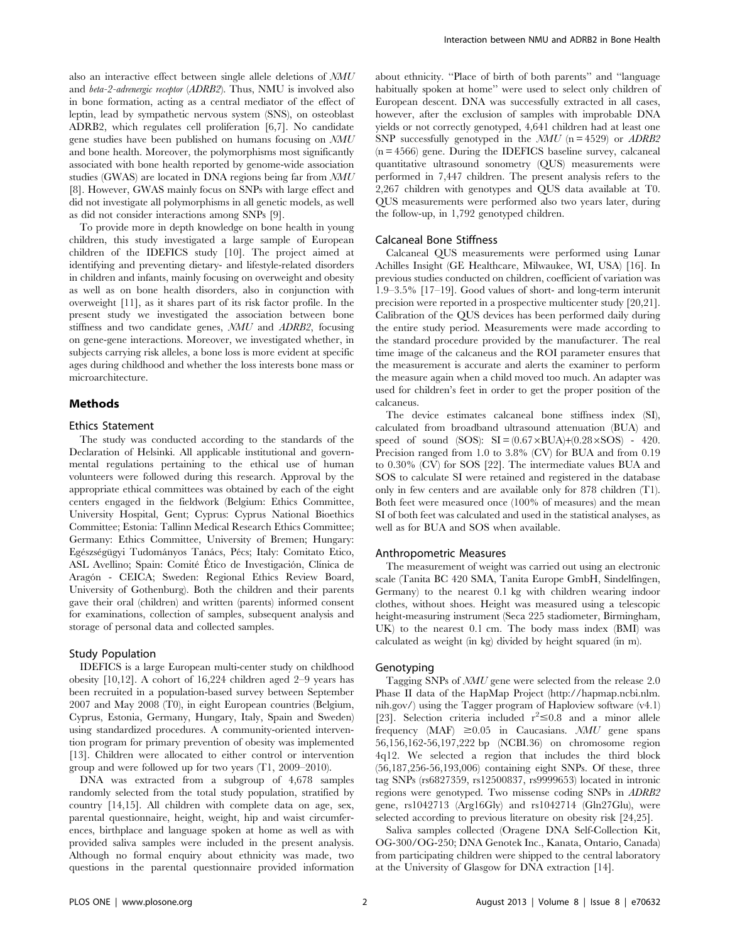also an interactive effect between single allele deletions of NMU and beta-2-adrenergic receptor (ADRB2). Thus, NMU is involved also in bone formation, acting as a central mediator of the effect of leptin, lead by sympathetic nervous system (SNS), on osteoblast ADRB2, which regulates cell proliferation [6,7]. No candidate gene studies have been published on humans focusing on NMU and bone health. Moreover, the polymorphisms most significantly associated with bone health reported by genome-wide association studies (GWAS) are located in DNA regions being far from NMU [8]. However, GWAS mainly focus on SNPs with large effect and did not investigate all polymorphisms in all genetic models, as well as did not consider interactions among SNPs [9].

To provide more in depth knowledge on bone health in young children, this study investigated a large sample of European children of the IDEFICS study [10]. The project aimed at identifying and preventing dietary- and lifestyle-related disorders in children and infants, mainly focusing on overweight and obesity as well as on bone health disorders, also in conjunction with overweight [11], as it shares part of its risk factor profile. In the present study we investigated the association between bone stiffness and two candidate genes, NMU and ADRB2, focusing on gene-gene interactions. Moreover, we investigated whether, in subjects carrying risk alleles, a bone loss is more evident at specific ages during childhood and whether the loss interests bone mass or microarchitecture.

## Methods

#### Ethics Statement

The study was conducted according to the standards of the Declaration of Helsinki. All applicable institutional and governmental regulations pertaining to the ethical use of human volunteers were followed during this research. Approval by the appropriate ethical committees was obtained by each of the eight centers engaged in the fieldwork (Belgium: Ethics Committee, University Hospital, Gent; Cyprus: Cyprus National Bioethics Committee; Estonia: Tallinn Medical Research Ethics Committee; Germany: Ethics Committee, University of Bremen; Hungary: Egészségügyi Tudományos Tanács, Pécs; Italy: Comitato Etico, ASL Avellino; Spain: Comité Ético de Investigación, Clínica de Aragón - CEICA; Sweden: Regional Ethics Review Board, University of Gothenburg). Both the children and their parents gave their oral (children) and written (parents) informed consent for examinations, collection of samples, subsequent analysis and storage of personal data and collected samples.

## Study Population

IDEFICS is a large European multi-center study on childhood obesity [10,12]. A cohort of 16,224 children aged 2–9 years has been recruited in a population-based survey between September 2007 and May 2008 (T0), in eight European countries (Belgium, Cyprus, Estonia, Germany, Hungary, Italy, Spain and Sweden) using standardized procedures. A community-oriented intervention program for primary prevention of obesity was implemented [13]. Children were allocated to either control or intervention group and were followed up for two years (T1, 2009–2010).

DNA was extracted from a subgroup of 4,678 samples randomly selected from the total study population, stratified by country [14,15]. All children with complete data on age, sex, parental questionnaire, height, weight, hip and waist circumferences, birthplace and language spoken at home as well as with provided saliva samples were included in the present analysis. Although no formal enquiry about ethnicity was made, two questions in the parental questionnaire provided information about ethnicity. ''Place of birth of both parents'' and ''language habitually spoken at home'' were used to select only children of European descent. DNA was successfully extracted in all cases, however, after the exclusion of samples with improbable DNA yields or not correctly genotyped, 4,641 children had at least one SNP successfully genotyped in the  $NMU$  (n = 4529) or  $ADRB2$ (n = 4566) gene. During the IDEFICS baseline survey, calcaneal quantitative ultrasound sonometry (QUS) measurements were performed in 7,447 children. The present analysis refers to the 2,267 children with genotypes and QUS data available at T0. QUS measurements were performed also two years later, during the follow-up, in 1,792 genotyped children.

## Calcaneal Bone Stiffness

Calcaneal QUS measurements were performed using Lunar Achilles Insight (GE Healthcare, Milwaukee, WI, USA) [16]. In previous studies conducted on children, coefficient of variation was 1.9–3.5% [17–19]. Good values of short- and long-term interunit precision were reported in a prospective multicenter study [20,21]. Calibration of the QUS devices has been performed daily during the entire study period. Measurements were made according to the standard procedure provided by the manufacturer. The real time image of the calcaneus and the ROI parameter ensures that the measurement is accurate and alerts the examiner to perform the measure again when a child moved too much. An adapter was used for children's feet in order to get the proper position of the calcaneus.

The device estimates calcaneal bone stiffness index (SI), calculated from broadband ultrasound attenuation (BUA) and speed of sound (SOS):  $SI = (0.67 \times BUA)+(0.28 \times SOS) - 420$ . Precision ranged from 1.0 to 3.8% (CV) for BUA and from 0.19 to 0.30% (CV) for SOS [22]. The intermediate values BUA and SOS to calculate SI were retained and registered in the database only in few centers and are available only for 878 children (T1). Both feet were measured once (100% of measures) and the mean SI of both feet was calculated and used in the statistical analyses, as well as for BUA and SOS when available.

#### Anthropometric Measures

The measurement of weight was carried out using an electronic scale (Tanita BC 420 SMA, Tanita Europe GmbH, Sindelfingen, Germany) to the nearest 0.1 kg with children wearing indoor clothes, without shoes. Height was measured using a telescopic height-measuring instrument (Seca 225 stadiometer, Birmingham, UK) to the nearest 0.1 cm. The body mass index (BMI) was calculated as weight (in kg) divided by height squared (in m).

## Genotyping

Tagging SNPs of NMU gene were selected from the release 2.0 Phase II data of the HapMap Project (http://hapmap.ncbi.nlm. nih.gov/) using the Tagger program of Haploview software (v4.1) [23]. Selection criteria included  $r^2 \le 0.8$  and a minor allele frequency (MAF)  $\geq 0.05$  in Caucasians. *NMU* gene spans 56,156,162-56,197,222 bp (NCBI.36) on chromosome region 4q12. We selected a region that includes the third block (56,187,256-56,193,006) containing eight SNPs. Of these, three tag SNPs (rs6827359, rs12500837, rs9999653) located in intronic regions were genotyped. Two missense coding SNPs in ADRB2 gene, rs1042713 (Arg16Gly) and rs1042714 (Gln27Glu), were selected according to previous literature on obesity risk [24,25].

Saliva samples collected (Oragene DNA Self-Collection Kit, OG-300/OG-250; DNA Genotek Inc., Kanata, Ontario, Canada) from participating children were shipped to the central laboratory at the University of Glasgow for DNA extraction [14].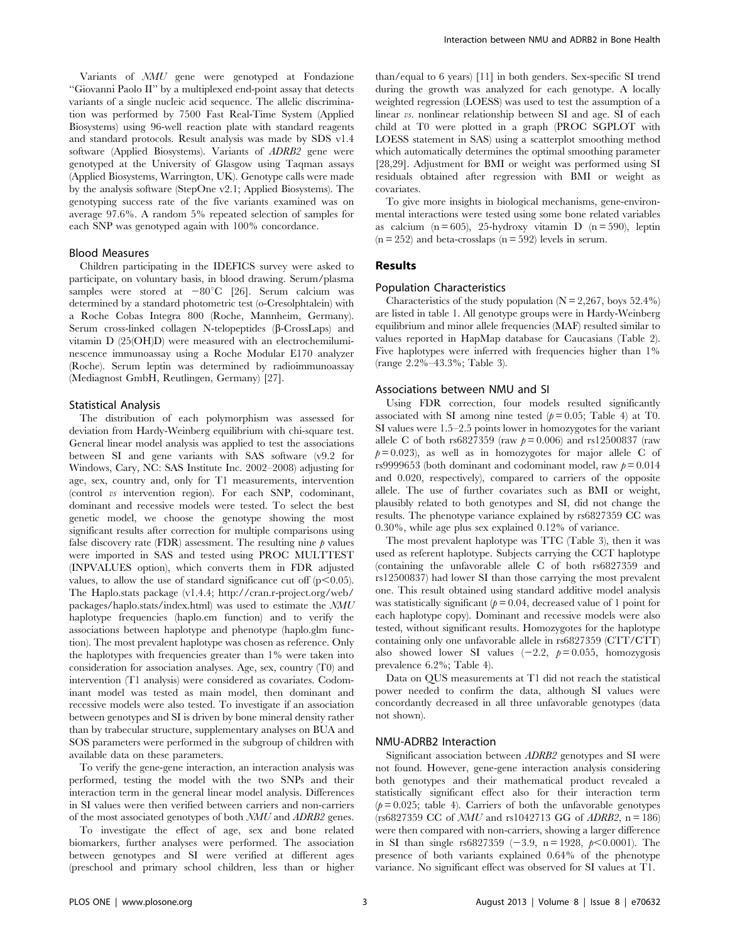Variants of NMU gene were genotyped at Fondazione ''Giovanni Paolo II'' by a multiplexed end-point assay that detects variants of a single nucleic acid sequence. The allelic discrimination was performed by 7500 Fast Real-Time System (Applied Biosystems) using 96-well reaction plate with standard reagents and standard protocols. Result analysis was made by SDS v1.4 software (Applied Biosystems). Variants of ADRB2 gene were genotyped at the University of Glasgow using Taqman assays (Applied Biosystems, Warrington, UK). Genotype calls were made by the analysis software (StepOne v2.1; Applied Biosystems). The genotyping success rate of the five variants examined was on average 97.6%. A random 5% repeated selection of samples for each SNP was genotyped again with 100% concordance.

### Blood Measures

Children participating in the IDEFICS survey were asked to participate, on voluntary basis, in blood drawing. Serum/plasma samples were stored at  $-80^{\circ}$ C [26]. Serum calcium was determined by a standard photometric test (o-Cresolphtalein) with a Roche Cobas Integra 800 (Roche, Mannheim, Germany). Serum cross-linked collagen N-telopeptides (β-CrossLaps) and vitamin D (25(OH)D) were measured with an electrochemiluminescence immunoassay using a Roche Modular E170 analyzer (Roche). Serum leptin was determined by radioimmunoassay (Mediagnost GmbH, Reutlingen, Germany) [27].

#### Statistical Analysis

The distribution of each polymorphism was assessed for deviation from Hardy-Weinberg equilibrium with chi-square test. General linear model analysis was applied to test the associations between SI and gene variants with SAS software (v9.2 for Windows, Cary, NC: SAS Institute Inc. 2002–2008) adjusting for age, sex, country and, only for T1 measurements, intervention (control vs intervention region). For each SNP, codominant, dominant and recessive models were tested. To select the best genetic model, we choose the genotype showing the most significant results after correction for multiple comparisons using false discovery rate  $(FDR)$  assessment. The resulting nine  $p$  values were imported in SAS and tested using PROC MULTTEST (INPVALUES option), which converts them in FDR adjusted values, to allow the use of standard significance cut off  $(p<0.05)$ . The Haplo.stats package (v1.4.4; http://cran.r-project.org/web/ packages/haplo.stats/index.html) was used to estimate the NMU haplotype frequencies (haplo.em function) and to verify the associations between haplotype and phenotype (haplo.glm function). The most prevalent haplotype was chosen as reference. Only the haplotypes with frequencies greater than 1% were taken into consideration for association analyses. Age, sex, country (T0) and intervention (T1 analysis) were considered as covariates. Codominant model was tested as main model, then dominant and recessive models were also tested. To investigate if an association between genotypes and SI is driven by bone mineral density rather than by trabecular structure, supplementary analyses on BUA and SOS parameters were performed in the subgroup of children with available data on these parameters.

To verify the gene-gene interaction, an interaction analysis was performed, testing the model with the two SNPs and their interaction term in the general linear model analysis. Differences in SI values were then verified between carriers and non-carriers of the most associated genotypes of both NMU and ADRB2 genes.

To investigate the effect of age, sex and bone related biomarkers, further analyses were performed. The association between genotypes and SI were verified at different ages (preschool and primary school children, less than or higher

than/equal to 6 years) [11] in both genders. Sex-specific SI trend during the growth was analyzed for each genotype. A locally weighted regression (LOESS) was used to test the assumption of a linear vs. nonlinear relationship between SI and age. SI of each child at T0 were plotted in a graph (PROC SGPLOT with LOESS statement in SAS) using a scatterplot smoothing method which automatically determines the optimal smoothing parameter [28,29]. Adjustment for BMI or weight was performed using SI residuals obtained after regression with BMI or weight as covariates.

To give more insights in biological mechanisms, gene-environmental interactions were tested using some bone related variables as calcium  $(n = 605)$ , 25-hydroxy vitamin D  $(n = 590)$ , leptin  $(n = 252)$  and beta-crosslaps  $(n = 592)$  levels in serum.

## Results

## Population Characteristics

Characteristics of the study population ( $N = 2,267$ , boys 52.4%) are listed in table 1. All genotype groups were in Hardy-Weinberg equilibrium and minor allele frequencies (MAF) resulted similar to values reported in HapMap database for Caucasians (Table 2). Five haplotypes were inferred with frequencies higher than 1% (range 2.2%–43.3%; Table 3).

### Associations between NMU and SI

Using FDR correction, four models resulted significantly associated with SI among nine tested  $(p= 0.05;$  Table 4) at T0. SI values were 1.5–2.5 points lower in homozygotes for the variant allele C of both rs6827359 (raw  $p = 0.006$ ) and rs12500837 (raw  $p= 0.023$ , as well as in homozygotes for major allele C of rs9999653 (both dominant and codominant model, raw  $p = 0.014$ and 0.020, respectively), compared to carriers of the opposite allele. The use of further covariates such as BMI or weight, plausibly related to both genotypes and SI, did not change the results. The phenotype variance explained by rs6827359 CC was 0.30%, while age plus sex explained 0.12% of variance.

The most prevalent haplotype was TTC (Table 3), then it was used as referent haplotype. Subjects carrying the CCT haplotype (containing the unfavorable allele C of both rs6827359 and rs12500837) had lower SI than those carrying the most prevalent one. This result obtained using standard additive model analysis was statistically significant ( $p = 0.04$ , decreased value of 1 point for each haplotype copy). Dominant and recessive models were also tested, without significant results. Homozygotes for the haplotype containing only one unfavorable allele in rs6827359 (CTT/CTT) also showed lower SI values  $(-2.2, p= 0.055, homozygosis)$ prevalence 6.2%; Table 4).

Data on QUS measurements at T1 did not reach the statistical power needed to confirm the data, although SI values were concordantly decreased in all three unfavorable genotypes (data not shown).

# NMU-ADRB2 Interaction

Significant association between ADRB2 genotypes and SI were not found. However, gene-gene interaction analysis considering both genotypes and their mathematical product revealed a statistically significant effect also for their interaction term  $(p= 0.025;$  table 4). Carriers of both the unfavorable genotypes  $(rs6827359 CC of *MMU* and rs1042713 GG of *ADRB2*, n = 186)$ were then compared with non-carriers, showing a larger difference in SI than single rs6827359 (-3.9, n = 1928,  $p$ <0.0001). The presence of both variants explained 0.64% of the phenotype variance. No significant effect was observed for SI values at T1.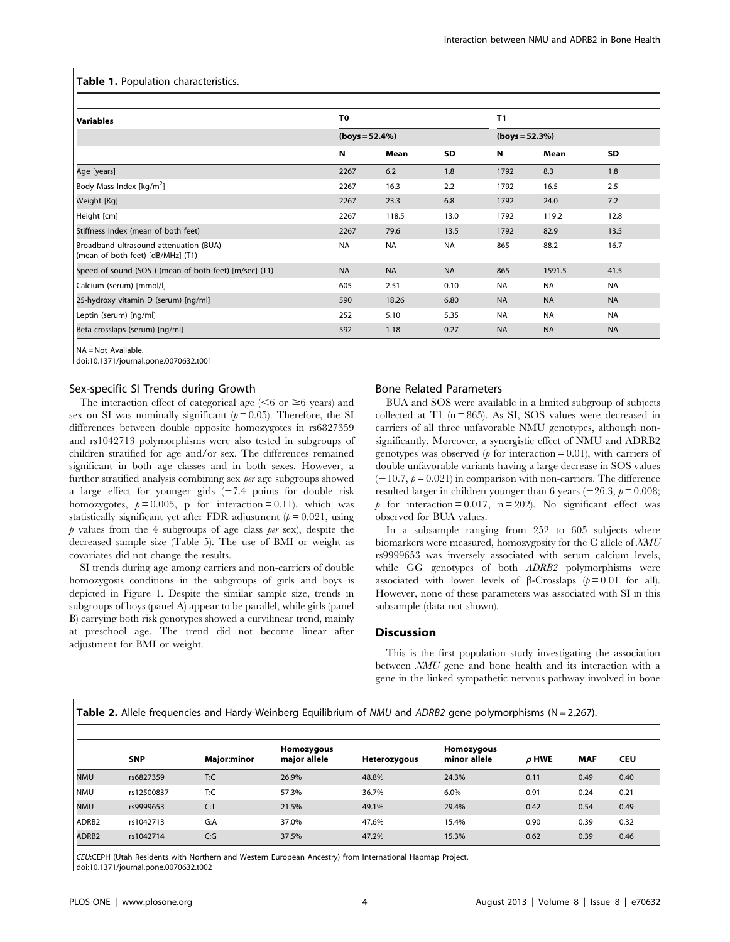#### Table 1. Population characteristics.

| <b>Variables</b>                                                            | T <sub>0</sub>                        |           | T <sub>1</sub> |           |                  |           |  |  |  |
|-----------------------------------------------------------------------------|---------------------------------------|-----------|----------------|-----------|------------------|-----------|--|--|--|
|                                                                             | $\left( \text{boys} = 52.4\% \right)$ |           |                |           | $(boys = 52.3%)$ |           |  |  |  |
|                                                                             | Ν                                     | Mean      | SD             | N         | Mean             | SD        |  |  |  |
| Age [years]                                                                 | 2267                                  | 6.2       | 1.8            | 1792      | 8.3              | 1.8       |  |  |  |
| Body Mass Index [kg/m <sup>2</sup> ]                                        | 2267                                  | 16.3      | 2.2            | 1792      | 16.5             | 2.5       |  |  |  |
| Weight [Kg]                                                                 | 2267                                  | 23.3      | 6.8            | 1792      | 24.0             | 7.2       |  |  |  |
| Height [cm]                                                                 | 2267                                  | 118.5     | 13.0           | 1792      | 119.2            | 12.8      |  |  |  |
| Stiffness index (mean of both feet)                                         | 2267                                  | 79.6      | 13.5           | 1792      | 82.9             | 13.5      |  |  |  |
| Broadband ultrasound attenuation (BUA)<br>(mean of both feet) [dB/MHz] (T1) | <b>NA</b>                             | <b>NA</b> | <b>NA</b>      | 865       | 88.2             | 16.7      |  |  |  |
| Speed of sound (SOS) (mean of both feet) [m/sec] (T1)                       | <b>NA</b>                             | <b>NA</b> | <b>NA</b>      | 865       | 1591.5           | 41.5      |  |  |  |
| Calcium (serum) [mmol/l]                                                    | 605                                   | 2.51      | 0.10           | <b>NA</b> | <b>NA</b>        | <b>NA</b> |  |  |  |
| 25-hydroxy vitamin D (serum) [ng/ml]                                        | 590                                   | 18.26     | 6.80           | <b>NA</b> | <b>NA</b>        | <b>NA</b> |  |  |  |
| Leptin (serum) [ng/ml]                                                      | 252                                   | 5.10      | 5.35           | <b>NA</b> | <b>NA</b>        | <b>NA</b> |  |  |  |
| Beta-crosslaps (serum) [ng/ml]                                              | 592                                   | 1.18      | 0.27           | <b>NA</b> | <b>NA</b>        | <b>NA</b> |  |  |  |

NA = Not Available.

doi:10.1371/journal.pone.0070632.t001

## Sex-specific SI Trends during Growth

The interaction effect of categorical age  $(<$ 6 or  $\geq$ 6 years) and sex on SI was nominally significant  $(p= 0.05)$ . Therefore, the SI differences between double opposite homozygotes in rs6827359 and rs1042713 polymorphisms were also tested in subgroups of children stratified for age and/or sex. The differences remained significant in both age classes and in both sexes. However, a further stratified analysis combining sex per age subgroups showed a large effect for younger girls  $(-7.4)$  points for double risk homozygotes,  $p = 0.005$ , p for interaction = 0.11), which was statistically significant yet after FDR adjustment  $(p= 0.021$ , using  $p$  values from the 4 subgroups of age class per sex), despite the decreased sample size (Table 5). The use of BMI or weight as covariates did not change the results.

SI trends during age among carriers and non-carriers of double homozygosis conditions in the subgroups of girls and boys is depicted in Figure 1. Despite the similar sample size, trends in subgroups of boys (panel A) appear to be parallel, while girls (panel B) carrying both risk genotypes showed a curvilinear trend, mainly at preschool age. The trend did not become linear after adjustment for BMI or weight.

## Bone Related Parameters

BUA and SOS were available in a limited subgroup of subjects collected at T1  $(n = 865)$ . As SI, SOS values were decreased in carriers of all three unfavorable NMU genotypes, although nonsignificantly. Moreover, a synergistic effect of NMU and ADRB2 genotypes was observed  $(p \text{ for interaction} = 0.01)$ , with carriers of double unfavorable variants having a large decrease in SOS values  $(-10.7, p= 0.021)$  in comparison with non-carriers. The difference resulted larger in children younger than 6 years  $(-26.3, p = 0.008;$ p for interaction = 0.017,  $n = 202$ ). No significant effect was observed for BUA values.

In a subsample ranging from 252 to 605 subjects where biomarkers were measured, homozygosity for the C allele of NMU rs9999653 was inversely associated with serum calcium levels, while GG genotypes of both *ADRB2* polymorphisms were associated with lower levels of  $\beta$ -Crosslaps ( $p = 0.01$  for all). However, none of these parameters was associated with SI in this subsample (data not shown).

### **Discussion**

This is the first population study investigating the association between NMU gene and bone health and its interaction with a gene in the linked sympathetic nervous pathway involved in bone

Table 2. Allele frequencies and Hardy-Weinberg Equilibrium of NMU and ADRB2 gene polymorphisms (N = 2,267).

|                   | <b>SNP</b> | Major:minor | Homozygous<br>major allele | Heterozygous | Homozygous<br>minor allele | $\rho$ HWE | <b>MAF</b> | <b>CEU</b> |
|-------------------|------------|-------------|----------------------------|--------------|----------------------------|------------|------------|------------|
| <b>NMU</b>        | rs6827359  | T:C         | 26.9%                      | 48.8%        | 24.3%                      | 0.11       | 0.49       | 0.40       |
| <b>NMU</b>        | rs12500837 | T:C         | 57.3%                      | 36.7%        | 6.0%                       | 0.91       | 0.24       | 0.21       |
| <b>NMU</b>        | rs9999653  | C: T        | 21.5%                      | 49.1%        | 29.4%                      | 0.42       | 0.54       | 0.49       |
| ADRB <sub>2</sub> | rs1042713  | G:A         | 37.0%                      | 47.6%        | 15.4%                      | 0.90       | 0.39       | 0.32       |
| ADRB <sub>2</sub> | rs1042714  | C:G         | 37.5%                      | 47.2%        | 15.3%                      | 0.62       | 0.39       | 0.46       |

CEU:CEPH (Utah Residents with Northern and Western European Ancestry) from International Hapmap Project. doi:10.1371/journal.pone.0070632.t002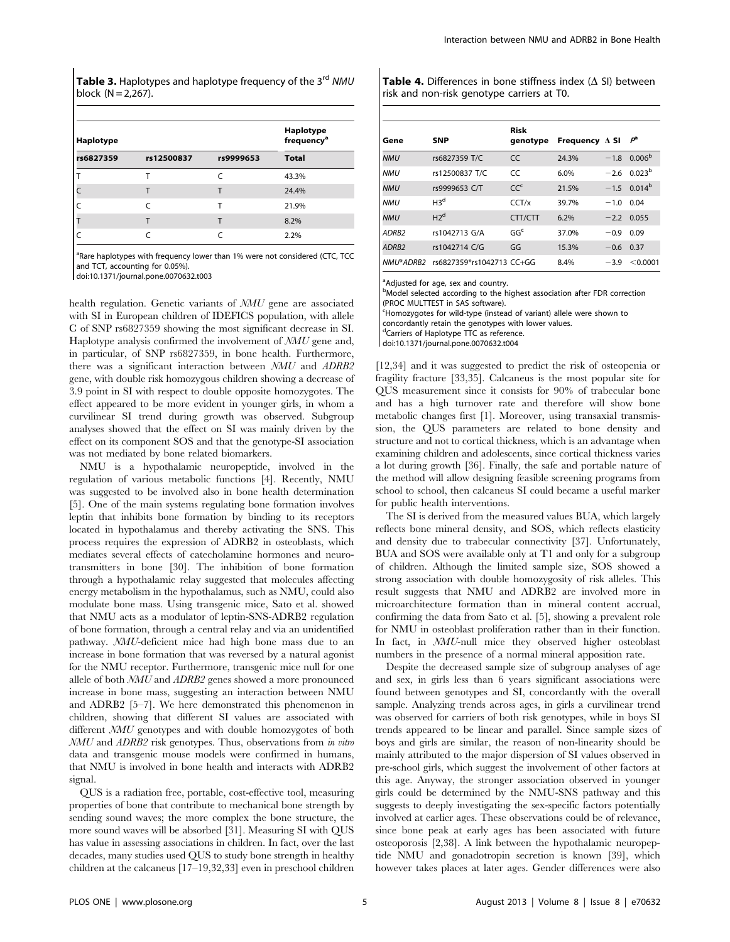**Table 3.** Haplotypes and haplotype frequency of the 3<sup>rd</sup> NMU block  $(N = 2,267)$ .

| Haplotype | Haplotype<br>frequency <sup>a</sup> |           |              |
|-----------|-------------------------------------|-----------|--------------|
| rs6827359 | rs12500837                          | rs9999653 | <b>Total</b> |
|           |                                     | r         | 43.3%        |
|           |                                     |           | 24.4%        |
|           | r                                   |           | 21.9%        |
|           |                                     |           | 8.2%         |
|           |                                     |           | 2.2%         |

<sup>a</sup>Rare haplotypes with frequency lower than 1% were not considered (CTC, TCC and TCT, accounting for 0.05%).

doi:10.1371/journal.pone.0070632.t003

health regulation. Genetic variants of NMU gene are associated with SI in European children of IDEFICS population, with allele C of SNP rs6827359 showing the most significant decrease in SI. Haplotype analysis confirmed the involvement of NMU gene and, in particular, of SNP rs6827359, in bone health. Furthermore, there was a significant interaction between NMU and ADRB2 gene, with double risk homozygous children showing a decrease of 3.9 point in SI with respect to double opposite homozygotes. The effect appeared to be more evident in younger girls, in whom a curvilinear SI trend during growth was observed. Subgroup analyses showed that the effect on SI was mainly driven by the effect on its component SOS and that the genotype-SI association was not mediated by bone related biomarkers.

NMU is a hypothalamic neuropeptide, involved in the regulation of various metabolic functions [4]. Recently, NMU was suggested to be involved also in bone health determination [5]. One of the main systems regulating bone formation involves leptin that inhibits bone formation by binding to its receptors located in hypothalamus and thereby activating the SNS. This process requires the expression of ADRB2 in osteoblasts, which mediates several effects of catecholamine hormones and neurotransmitters in bone [30]. The inhibition of bone formation through a hypothalamic relay suggested that molecules affecting energy metabolism in the hypothalamus, such as NMU, could also modulate bone mass. Using transgenic mice, Sato et al. showed that NMU acts as a modulator of leptin-SNS-ADRB2 regulation of bone formation, through a central relay and via an unidentified pathway. NMU-deficient mice had high bone mass due to an increase in bone formation that was reversed by a natural agonist for the NMU receptor. Furthermore, transgenic mice null for one allele of both NMU and ADRB2 genes showed a more pronounced increase in bone mass, suggesting an interaction between NMU and ADRB2 [5–7]. We here demonstrated this phenomenon in children, showing that different SI values are associated with different  $NMU$  genotypes and with double homozygotes of both NMU and ADRB2 risk genotypes. Thus, observations from in vitro data and transgenic mouse models were confirmed in humans, that NMU is involved in bone health and interacts with ADRB2 signal.

QUS is a radiation free, portable, cost-effective tool, measuring properties of bone that contribute to mechanical bone strength by sending sound waves; the more complex the bone structure, the more sound waves will be absorbed [31]. Measuring SI with QUS has value in assessing associations in children. In fact, over the last decades, many studies used QUS to study bone strength in healthy children at the calcaneus [17–19,32,33] even in preschool children **Table 4.** Differences in bone stiffness index  $(\Delta S)$  between risk and non-risk genotype carriers at T0.

| Gene              | <b>SNP</b>                | Risk<br>genotype | Frequency $\Delta$ SI |        | $P^{\rm a}$               |
|-------------------|---------------------------|------------------|-----------------------|--------|---------------------------|
| <b>NMU</b>        | rs6827359 T/C             | <b>CC</b>        | 24.3%                 | $-1.8$ | 0.006 <sup>b</sup>        |
| <b>NMU</b>        | rs12500837 T/C            | $\mathcal{C}$    | 6.0%                  |        | $-260023^{b}$             |
| <b>NMU</b>        | rs9999653 C/T             | CC <sup>c</sup>  | 21.5%                 |        | $-1.5$ 0.014 <sup>b</sup> |
| <b>NMU</b>        | H3 <sup>d</sup>           | CCT/x            | 39.7%                 | $-1.0$ | 0.04                      |
| <b>NMU</b>        | H2 <sup>d</sup>           | CTT/CTT          | 6.2%                  | $-2.2$ | 0.055                     |
| ADRB <sub>2</sub> | rs1042713 G/A             | GG <sup>c</sup>  | 37.0%                 | $-0.9$ | 0.09                      |
| ADRB <sub>2</sub> | rs1042714 C/G             | GG               | 15.3%                 | $-0.6$ | 0.37                      |
| NMU*ADRB2         | rs6827359*rs1042713 CC+GG |                  | 8.4%                  | $-3.9$ | < 0.0001                  |

<sup>a</sup>Adjusted for age, sex and country.

**bModel selected according to the highest association after FDR correction** (PROC MULTTEST in SAS software).

c Homozygotes for wild-type (instead of variant) allele were shown to

concordantly retain the genotypes with lower values.

dCarriers of Haplotype TTC as reference.

doi:10.1371/journal.pone.0070632.t004

[12,34] and it was suggested to predict the risk of osteopenia or fragility fracture [33,35]. Calcaneus is the most popular site for QUS measurement since it consists for 90% of trabecular bone and has a high turnover rate and therefore will show bone metabolic changes first [1]. Moreover, using transaxial transmission, the QUS parameters are related to bone density and structure and not to cortical thickness, which is an advantage when examining children and adolescents, since cortical thickness varies a lot during growth [36]. Finally, the safe and portable nature of the method will allow designing feasible screening programs from school to school, then calcaneus SI could became a useful marker for public health interventions.

The SI is derived from the measured values BUA, which largely reflects bone mineral density, and SOS, which reflects elasticity and density due to trabecular connectivity [37]. Unfortunately, BUA and SOS were available only at T1 and only for a subgroup of children. Although the limited sample size, SOS showed a strong association with double homozygosity of risk alleles. This result suggests that NMU and ADRB2 are involved more in microarchitecture formation than in mineral content accrual, confirming the data from Sato et al. [5], showing a prevalent role for NMU in osteoblast proliferation rather than in their function. In fact, in NMU-null mice they observed higher osteoblast numbers in the presence of a normal mineral apposition rate.

Despite the decreased sample size of subgroup analyses of age and sex, in girls less than 6 years significant associations were found between genotypes and SI, concordantly with the overall sample. Analyzing trends across ages, in girls a curvilinear trend was observed for carriers of both risk genotypes, while in boys SI trends appeared to be linear and parallel. Since sample sizes of boys and girls are similar, the reason of non-linearity should be mainly attributed to the major dispersion of SI values observed in pre-school girls, which suggest the involvement of other factors at this age. Anyway, the stronger association observed in younger girls could be determined by the NMU-SNS pathway and this suggests to deeply investigating the sex-specific factors potentially involved at earlier ages. These observations could be of relevance, since bone peak at early ages has been associated with future osteoporosis [2,38]. A link between the hypothalamic neuropeptide NMU and gonadotropin secretion is known [39], which however takes places at later ages. Gender differences were also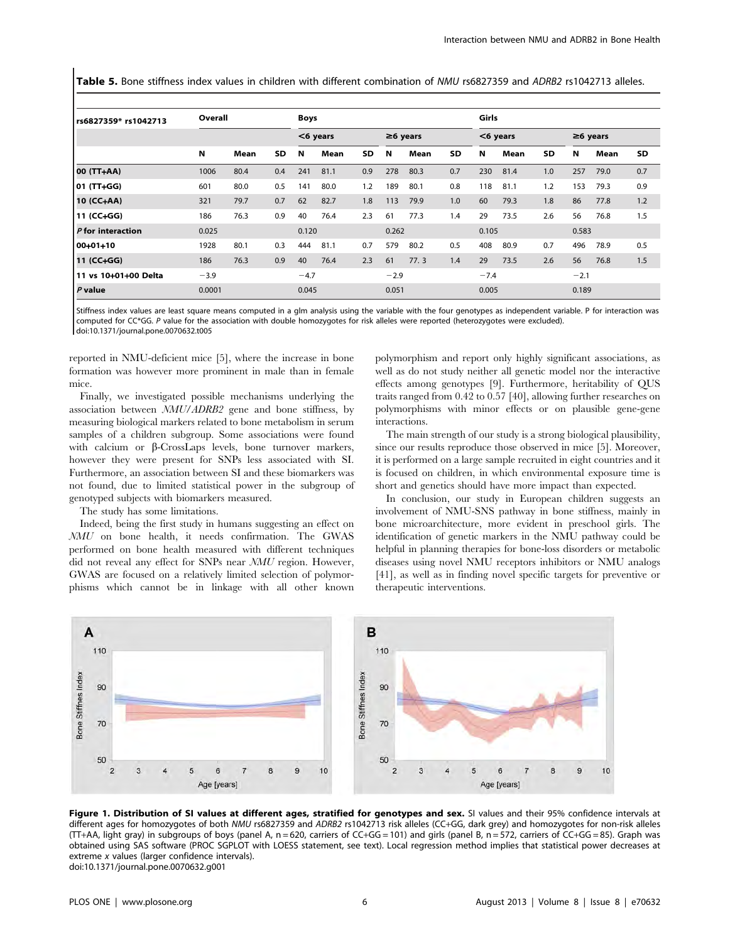Table 5. Bone stiffness index values in children with different combination of NMU rs6827359 and ADRB2 rs1042713 alleles.

| rs6827359* rs1042713 | Overall |      |       | <b>Boys</b> |             |           |                |       | Girls       |        |       |                |        |      |           |
|----------------------|---------|------|-------|-------------|-------------|-----------|----------------|-------|-------------|--------|-------|----------------|--------|------|-----------|
|                      |         |      |       |             | $<$ 6 years |           | $\geq 6$ years |       | $<$ 6 years |        |       | $\geq$ 6 years |        |      |           |
|                      | N       | Mean | SD    | N           | Mean        | <b>SD</b> | N              | Mean  | <b>SD</b>   | N      | Mean  | <b>SD</b>      | N      | Mean | <b>SD</b> |
| 00 (TT+AA)           | 1006    | 80.4 | 0.4   | 241         | 81.1        | 0.9       | 278            | 80.3  | 0.7         | 230    | 81.4  | 1.0            | 257    | 79.0 | 0.7       |
| 01 (TT+GG)           | 601     | 80.0 | 0.5   | 141         | 80.0        | 1.2       | 189            | 80.1  | 0.8         | 118    | 81.1  | 1.2            | 153    | 79.3 | 0.9       |
| 10 (CC+AA)           | 321     | 79.7 | 0.7   | 62          | 82.7        | 1.8       | 113            | 79.9  | 1.0         | 60     | 79.3  | 1.8            | 86     | 77.8 | 1.2       |
| 11 (CC+GG)           | 186     | 76.3 | 0.9   | 40          | 76.4        | 2.3       | 61             | 77.3  | 1.4         | 29     | 73.5  | 2.6            | 56     | 76.8 | 1.5       |
| P for interaction    | 0.025   |      | 0.120 |             |             | 0.262     |                | 0.105 |             |        | 0.583 |                |        |      |           |
| 00-01+10             | 1928    | 80.1 | 0.3   | 444         | 81.1        | 0.7       | 579            | 80.2  | 0.5         | 408    | 80.9  | 0.7            | 496    | 78.9 | 0.5       |
| 11 (CC+GG)           | 186     | 76.3 | 0.9   | 40          | 76.4        | 2.3       | 61             | 77.3  | 1.4         | 29     | 73.5  | 2.6            | 56     | 76.8 | 1.5       |
| 11 vs 10+01+00 Delta | $-3.9$  |      |       | $-4.7$      |             |           | $-2.9$         |       |             | $-7.4$ |       |                | $-2.1$ |      |           |
| $P$ value            | 0.0001  |      |       | 0.045       |             |           | 0.051          |       |             | 0.005  |       |                | 0.189  |      |           |

Stiffness index values are least square means computed in a glm analysis using the variable with the four genotypes as independent variable. P for interaction was computed for CC\*GG. P value for the association with double homozygotes for risk alleles were reported (heterozygotes were excluded). doi:10.1371/journal.pone.0070632.t005

reported in NMU-deficient mice [5], where the increase in bone formation was however more prominent in male than in female mice.

Finally, we investigated possible mechanisms underlying the association between NMU/ADRB2 gene and bone stiffness, by measuring biological markers related to bone metabolism in serum samples of a children subgroup. Some associations were found with calcium or  $\beta$ -CrossLaps levels, bone turnover markers, however they were present for SNPs less associated with SI. Furthermore, an association between SI and these biomarkers was not found, due to limited statistical power in the subgroup of genotyped subjects with biomarkers measured.

The study has some limitations.

Indeed, being the first study in humans suggesting an effect on NMU on bone health, it needs confirmation. The GWAS performed on bone health measured with different techniques did not reveal any effect for SNPs near NMU region. However, GWAS are focused on a relatively limited selection of polymorphisms which cannot be in linkage with all other known polymorphism and report only highly significant associations, as well as do not study neither all genetic model nor the interactive effects among genotypes [9]. Furthermore, heritability of QUS traits ranged from 0.42 to 0.57 [40], allowing further researches on polymorphisms with minor effects or on plausible gene-gene interactions.

The main strength of our study is a strong biological plausibility, since our results reproduce those observed in mice [5]. Moreover, it is performed on a large sample recruited in eight countries and it is focused on children, in which environmental exposure time is short and genetics should have more impact than expected.

In conclusion, our study in European children suggests an involvement of NMU-SNS pathway in bone stiffness, mainly in bone microarchitecture, more evident in preschool girls. The identification of genetic markers in the NMU pathway could be helpful in planning therapies for bone-loss disorders or metabolic diseases using novel NMU receptors inhibitors or NMU analogs [41], as well as in finding novel specific targets for preventive or therapeutic interventions.



Figure 1. Distribution of SI values at different ages, stratified for genotypes and sex. SI values and their 95% confidence intervals at different ages for homozygotes of both NMU rs6827359 and ADRB2 rs1042713 risk alleles (CC+GG, dark grey) and homozygotes for non-risk alleles  $(TT+AA,$  light gray) in subgroups of boys (panel A, n = 620, carriers of CC+GG = 101) and girls (panel B, n = 572, carriers of CC+GG = 85). Graph was obtained using SAS software (PROC SGPLOT with LOESS statement, see text). Local regression method implies that statistical power decreases at extreme x values (larger confidence intervals). doi:10.1371/journal.pone.0070632.g001